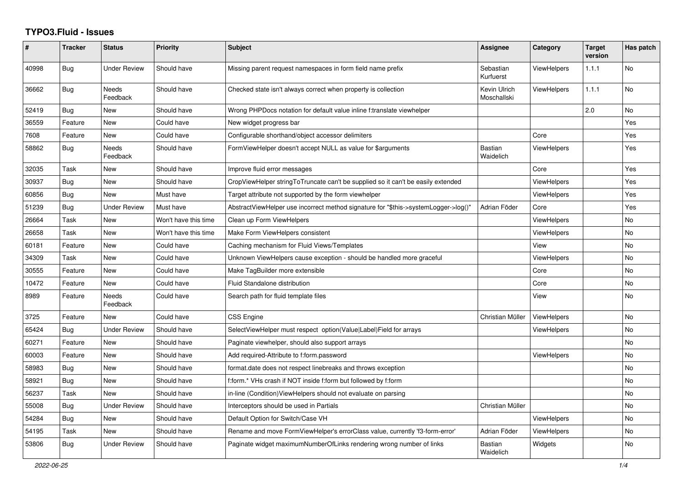## **TYPO3.Fluid - Issues**

| #     | <b>Tracker</b> | <b>Status</b>            | <b>Priority</b>      | Subject                                                                             | Assignee                    | Category           | <b>Target</b><br>version | Has patch |
|-------|----------------|--------------------------|----------------------|-------------------------------------------------------------------------------------|-----------------------------|--------------------|--------------------------|-----------|
| 40998 | Bug            | <b>Under Review</b>      | Should have          | Missing parent request namespaces in form field name prefix                         | Sebastian<br>Kurfuerst      | <b>ViewHelpers</b> | 1.1.1                    | No        |
| 36662 | <b>Bug</b>     | Needs<br>Feedback        | Should have          | Checked state isn't always correct when property is collection                      | Kevin Ulrich<br>Moschallski | <b>ViewHelpers</b> | 1.1.1                    | No        |
| 52419 | Bug            | New                      | Should have          | Wrong PHPDocs notation for default value inline f:translate viewhelper              |                             |                    | 2.0                      | No        |
| 36559 | Feature        | New                      | Could have           | New widget progress bar                                                             |                             |                    |                          | Yes       |
| 7608  | Feature        | New                      | Could have           | Configurable shorthand/object accessor delimiters                                   |                             | Core               |                          | Yes       |
| 58862 | Bug            | <b>Needs</b><br>Feedback | Should have          | FormViewHelper doesn't accept NULL as value for \$arguments                         | <b>Bastian</b><br>Waidelich | <b>ViewHelpers</b> |                          | Yes       |
| 32035 | Task           | New                      | Should have          | Improve fluid error messages                                                        |                             | Core               |                          | Yes       |
| 30937 | Bug            | New                      | Should have          | CropViewHelper stringToTruncate can't be supplied so it can't be easily extended    |                             | ViewHelpers        |                          | Yes       |
| 60856 | Bug            | <b>New</b>               | Must have            | Target attribute not supported by the form viewhelper                               |                             | <b>ViewHelpers</b> |                          | Yes       |
| 51239 | Bug            | <b>Under Review</b>      | Must have            | AbstractViewHelper use incorrect method signature for "\$this->systemLogger->log()" | Adrian Föder                | Core               |                          | Yes       |
| 26664 | Task           | New                      | Won't have this time | Clean up Form ViewHelpers                                                           |                             | <b>ViewHelpers</b> |                          | No        |
| 26658 | Task           | New                      | Won't have this time | Make Form ViewHelpers consistent                                                    |                             | <b>ViewHelpers</b> |                          | No        |
| 60181 | Feature        | New                      | Could have           | Caching mechanism for Fluid Views/Templates                                         |                             | View               |                          | No        |
| 34309 | Task           | New                      | Could have           | Unknown ViewHelpers cause exception - should be handled more graceful               |                             | ViewHelpers        |                          | No        |
| 30555 | Feature        | New                      | Could have           | Make TagBuilder more extensible                                                     |                             | Core               |                          | No        |
| 10472 | Feature        | <b>New</b>               | Could have           | Fluid Standalone distribution                                                       |                             | Core               |                          | No.       |
| 8989  | Feature        | <b>Needs</b><br>Feedback | Could have           | Search path for fluid template files                                                |                             | View               |                          | No        |
| 3725  | Feature        | New                      | Could have           | CSS Engine                                                                          | Christian Müller            | ViewHelpers        |                          | No        |
| 65424 | Bug            | <b>Under Review</b>      | Should have          | SelectViewHelper must respect option(Value Label)Field for arrays                   |                             | ViewHelpers        |                          | No        |
| 60271 | Feature        | New                      | Should have          | Paginate viewhelper, should also support arrays                                     |                             |                    |                          | No        |
| 60003 | Feature        | New                      | Should have          | Add required-Attribute to f:form.password                                           |                             | <b>ViewHelpers</b> |                          | No        |
| 58983 | Bug            | <b>New</b>               | Should have          | format.date does not respect linebreaks and throws exception                        |                             |                    |                          | No        |
| 58921 | Bug            | <b>New</b>               | Should have          | f:form.* VHs crash if NOT inside f:form but followed by f:form                      |                             |                    |                          | No        |
| 56237 | Task           | New                      | Should have          | in-line (Condition) View Helpers should not evaluate on parsing                     |                             |                    |                          | No.       |
| 55008 | <b>Bug</b>     | Under Review             | Should have          | Interceptors should be used in Partials                                             | Christian Müller            |                    |                          | No        |
| 54284 | <b>Bug</b>     | New                      | Should have          | Default Option for Switch/Case VH                                                   |                             | <b>ViewHelpers</b> |                          | No        |
| 54195 | Task           | New                      | Should have          | Rename and move FormViewHelper's errorClass value, currently 'f3-form-error'        | Adrian Föder                | <b>ViewHelpers</b> |                          | No        |
| 53806 | Bug            | <b>Under Review</b>      | Should have          | Paginate widget maximumNumberOfLinks rendering wrong number of links                | <b>Bastian</b><br>Waidelich | Widgets            |                          | No.       |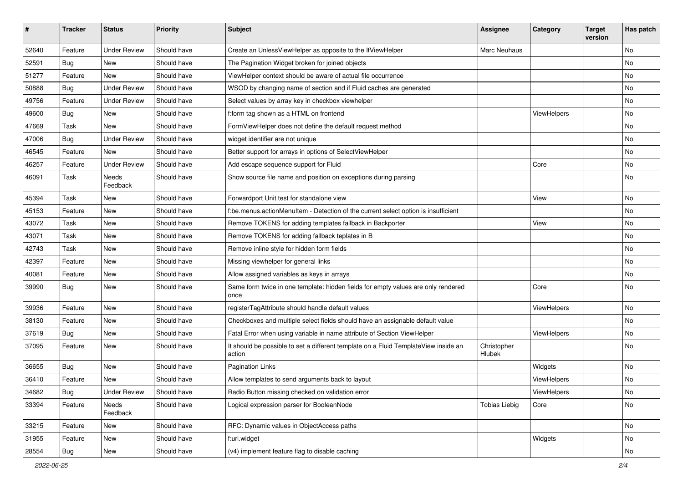| #     | <b>Tracker</b> | <b>Status</b>            | <b>Priority</b> | Subject                                                                                       | <b>Assignee</b>       | Category    | <b>Target</b><br>version | Has patch |
|-------|----------------|--------------------------|-----------------|-----------------------------------------------------------------------------------------------|-----------------------|-------------|--------------------------|-----------|
| 52640 | Feature        | <b>Under Review</b>      | Should have     | Create an UnlessViewHelper as opposite to the IfViewHelper                                    | Marc Neuhaus          |             |                          | <b>No</b> |
| 52591 | Bug            | New                      | Should have     | The Pagination Widget broken for joined objects                                               |                       |             |                          | No        |
| 51277 | Feature        | New                      | Should have     | ViewHelper context should be aware of actual file occurrence                                  |                       |             |                          | No        |
| 50888 | Bug            | <b>Under Review</b>      | Should have     | WSOD by changing name of section and if Fluid caches are generated                            |                       |             |                          | <b>No</b> |
| 49756 | Feature        | <b>Under Review</b>      | Should have     | Select values by array key in checkbox viewhelper                                             |                       |             |                          | No        |
| 49600 | Bug            | New                      | Should have     | f:form tag shown as a HTML on frontend                                                        |                       | ViewHelpers |                          | <b>No</b> |
| 47669 | Task           | New                      | Should have     | FormViewHelper does not define the default request method                                     |                       |             |                          | No        |
| 47006 | Bug            | <b>Under Review</b>      | Should have     | widget identifier are not unique                                                              |                       |             |                          | No        |
| 46545 | Feature        | New                      | Should have     | Better support for arrays in options of SelectViewHelper                                      |                       |             |                          | No        |
| 46257 | Feature        | <b>Under Review</b>      | Should have     | Add escape sequence support for Fluid                                                         |                       | Core        |                          | No        |
| 46091 | Task           | <b>Needs</b><br>Feedback | Should have     | Show source file name and position on exceptions during parsing                               |                       |             |                          | No        |
| 45394 | Task           | New                      | Should have     | Forwardport Unit test for standalone view                                                     |                       | View        |                          | No        |
| 45153 | Feature        | <b>New</b>               | Should have     | f:be.menus.actionMenuItem - Detection of the current select option is insufficient            |                       |             |                          | <b>No</b> |
| 43072 | Task           | New                      | Should have     | Remove TOKENS for adding templates fallback in Backporter                                     |                       | View        |                          | No        |
| 43071 | Task           | New                      | Should have     | Remove TOKENS for adding fallback teplates in B                                               |                       |             |                          | No        |
| 42743 | Task           | <b>New</b>               | Should have     | Remove inline style for hidden form fields                                                    |                       |             |                          | <b>No</b> |
| 42397 | Feature        | New                      | Should have     | Missing viewhelper for general links                                                          |                       |             |                          | No        |
| 40081 | Feature        | New                      | Should have     | Allow assigned variables as keys in arrays                                                    |                       |             |                          | No        |
| 39990 | Bug            | New                      | Should have     | Same form twice in one template: hidden fields for empty values are only rendered<br>once     |                       | Core        |                          | No        |
| 39936 | Feature        | New                      | Should have     | registerTagAttribute should handle default values                                             |                       | ViewHelpers |                          | <b>No</b> |
| 38130 | Feature        | New                      | Should have     | Checkboxes and multiple select fields should have an assignable default value                 |                       |             |                          | No        |
| 37619 | Bug            | New                      | Should have     | Fatal Error when using variable in name attribute of Section ViewHelper                       |                       | ViewHelpers |                          | No        |
| 37095 | Feature        | New                      | Should have     | It should be possible to set a different template on a Fluid TemplateView inside an<br>action | Christopher<br>Hlubek |             |                          | <b>No</b> |
| 36655 | Bug            | New                      | Should have     | <b>Pagination Links</b>                                                                       |                       | Widgets     |                          | <b>No</b> |
| 36410 | Feature        | New                      | Should have     | Allow templates to send arguments back to layout                                              |                       | ViewHelpers |                          | No        |
| 34682 | <b>Bug</b>     | <b>Under Review</b>      | Should have     | Radio Button missing checked on validation error                                              |                       | ViewHelpers |                          | No        |
| 33394 | Feature        | Needs<br>Feedback        | Should have     | Logical expression parser for BooleanNode                                                     | <b>Tobias Liebig</b>  | Core        |                          | No        |
| 33215 | Feature        | New                      | Should have     | RFC: Dynamic values in ObjectAccess paths                                                     |                       |             |                          | No        |
| 31955 | Feature        | New                      | Should have     | f:uri.widget                                                                                  |                       | Widgets     |                          | No        |
| 28554 | Bug            | New                      | Should have     | (v4) implement feature flag to disable caching                                                |                       |             |                          | No        |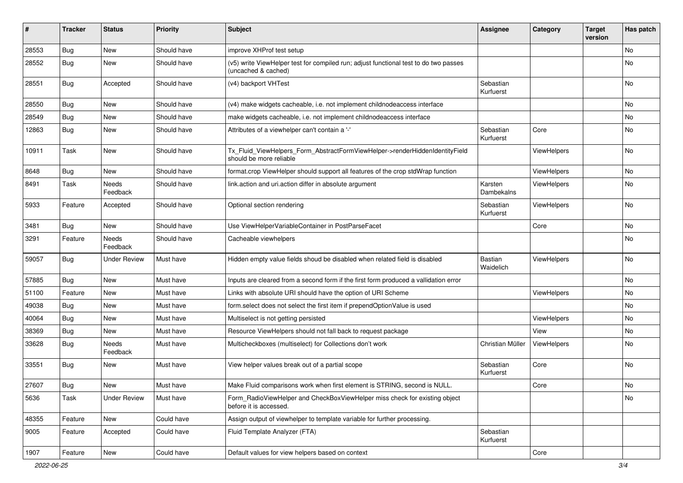| #     | <b>Tracker</b> | <b>Status</b>     | <b>Priority</b> | Subject                                                                                                     | <b>Assignee</b>        | Category    | <b>Target</b><br>version | Has patch |
|-------|----------------|-------------------|-----------------|-------------------------------------------------------------------------------------------------------------|------------------------|-------------|--------------------------|-----------|
| 28553 | Bug            | New               | Should have     | improve XHProf test setup                                                                                   |                        |             |                          | No        |
| 28552 | Bug            | New               | Should have     | (v5) write ViewHelper test for compiled run; adjust functional test to do two passes<br>(uncached & cached) |                        |             |                          | No        |
| 28551 | <b>Bug</b>     | Accepted          | Should have     | (v4) backport VHTest                                                                                        | Sebastian<br>Kurfuerst |             |                          | No        |
| 28550 | Bug            | New               | Should have     | (v4) make widgets cacheable, i.e. not implement childnodeaccess interface                                   |                        |             |                          | No        |
| 28549 | Bug            | New               | Should have     | make widgets cacheable, i.e. not implement childnodeaccess interface                                        |                        |             |                          | No        |
| 12863 | Bug            | New               | Should have     | Attributes of a viewhelper can't contain a '-'                                                              | Sebastian<br>Kurfuerst | Core        |                          | No        |
| 10911 | Task           | New               | Should have     | Tx_Fluid_ViewHelpers_Form_AbstractFormViewHelper->renderHiddenIdentityField<br>should be more reliable      |                        | ViewHelpers |                          | No        |
| 8648  | Bug            | New               | Should have     | format.crop ViewHelper should support all features of the crop stdWrap function                             |                        | ViewHelpers |                          | No        |
| 8491  | Task           | Needs<br>Feedback | Should have     | link.action and uri.action differ in absolute argument                                                      | Karsten<br>Dambekalns  | ViewHelpers |                          | No        |
| 5933  | Feature        | Accepted          | Should have     | Optional section rendering                                                                                  | Sebastian<br>Kurfuerst | ViewHelpers |                          | <b>No</b> |
| 3481  | Bug            | New               | Should have     | Use ViewHelperVariableContainer in PostParseFacet                                                           |                        | Core        |                          | No        |
| 3291  | Feature        | Needs<br>Feedback | Should have     | Cacheable viewhelpers                                                                                       |                        |             |                          | No        |
| 59057 | <b>Bug</b>     | Under Review      | Must have       | Hidden empty value fields shoud be disabled when related field is disabled                                  | Bastian<br>Waidelich   | ViewHelpers |                          | No        |
| 57885 | Bug            | New               | Must have       | Inputs are cleared from a second form if the first form produced a vallidation error                        |                        |             |                          | No        |
| 51100 | Feature        | New               | Must have       | Links with absolute URI should have the option of URI Scheme                                                |                        | ViewHelpers |                          | No        |
| 49038 | Bug            | New               | Must have       | form.select does not select the first item if prependOptionValue is used                                    |                        |             |                          | No        |
| 40064 | Bug            | New               | Must have       | Multiselect is not getting persisted                                                                        |                        | ViewHelpers |                          | No        |
| 38369 | Bug            | New               | Must have       | Resource ViewHelpers should not fall back to request package                                                |                        | View        |                          | No        |
| 33628 | Bug            | Needs<br>Feedback | Must have       | Multicheckboxes (multiselect) for Collections don't work                                                    | Christian Müller       | ViewHelpers |                          | <b>No</b> |
| 33551 | Bug            | New               | Must have       | View helper values break out of a partial scope                                                             | Sebastian<br>Kurfuerst | Core        |                          | <b>No</b> |
| 27607 | i Bug          | New               | Must have       | Make Fluid comparisons work when first element is STRING, second is NULL                                    |                        | Core        |                          | No        |
| 5636  | Task           | Under Review      | Must have       | Form_RadioViewHelper and CheckBoxViewHelper miss check for existing object<br>before it is accessed.        |                        |             |                          | No        |
| 48355 | Feature        | New               | Could have      | Assign output of viewhelper to template variable for further processing.                                    |                        |             |                          |           |
| 9005  | Feature        | Accepted          | Could have      | Fluid Template Analyzer (FTA)                                                                               | Sebastian<br>Kurfuerst |             |                          |           |
| 1907  | Feature        | New               | Could have      | Default values for view helpers based on context                                                            |                        | Core        |                          |           |